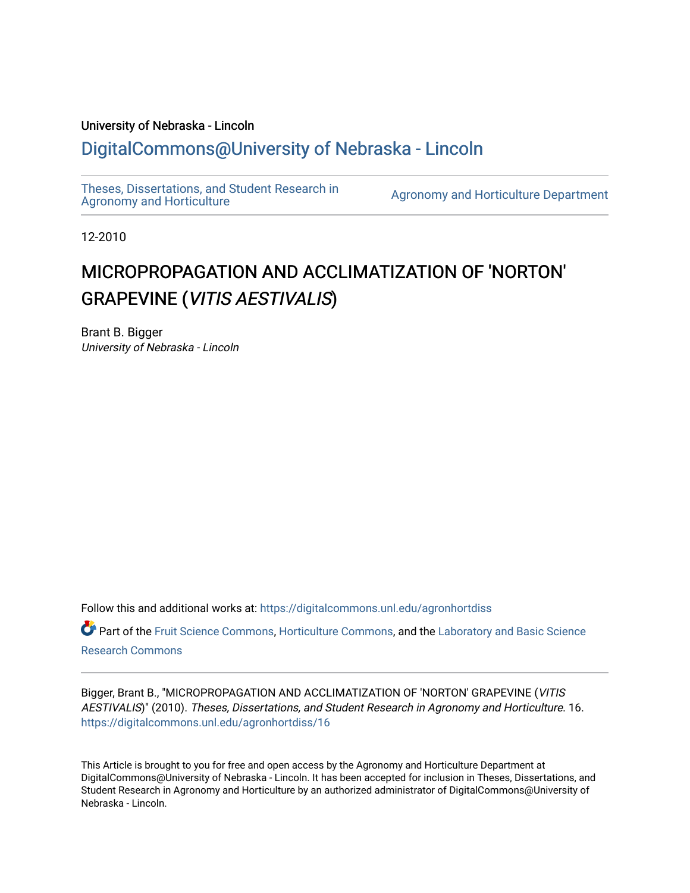# University of Nebraska - Lincoln [DigitalCommons@University of Nebraska - Lincoln](https://digitalcommons.unl.edu/)

[Theses, Dissertations, and Student Research in](https://digitalcommons.unl.edu/agronhortdiss) 

[Agronomy and Horticulture](https://digitalcommons.unl.edu/agronhortdiss) Department

12-2010

# MICROPROPAGATION AND ACCLIMATIZATION OF 'NORTON' GRAPEVINE (VITIS AESTIVALIS)

Brant B. Bigger University of Nebraska - Lincoln

Follow this and additional works at: [https://digitalcommons.unl.edu/agronhortdiss](https://digitalcommons.unl.edu/agronhortdiss?utm_source=digitalcommons.unl.edu%2Fagronhortdiss%2F16&utm_medium=PDF&utm_campaign=PDFCoverPages)  Part of the [Fruit Science Commons](http://network.bepress.com/hgg/discipline/1064?utm_source=digitalcommons.unl.edu%2Fagronhortdiss%2F16&utm_medium=PDF&utm_campaign=PDFCoverPages), [Horticulture Commons,](http://network.bepress.com/hgg/discipline/105?utm_source=digitalcommons.unl.edu%2Fagronhortdiss%2F16&utm_medium=PDF&utm_campaign=PDFCoverPages) and the [Laboratory and Basic Science](http://network.bepress.com/hgg/discipline/812?utm_source=digitalcommons.unl.edu%2Fagronhortdiss%2F16&utm_medium=PDF&utm_campaign=PDFCoverPages) [Research Commons](http://network.bepress.com/hgg/discipline/812?utm_source=digitalcommons.unl.edu%2Fagronhortdiss%2F16&utm_medium=PDF&utm_campaign=PDFCoverPages) 

Bigger, Brant B., "MICROPROPAGATION AND ACCLIMATIZATION OF 'NORTON' GRAPEVINE (VITIS AESTIVALIS)" (2010). Theses, Dissertations, and Student Research in Agronomy and Horticulture. 16. [https://digitalcommons.unl.edu/agronhortdiss/16](https://digitalcommons.unl.edu/agronhortdiss/16?utm_source=digitalcommons.unl.edu%2Fagronhortdiss%2F16&utm_medium=PDF&utm_campaign=PDFCoverPages)

This Article is brought to you for free and open access by the Agronomy and Horticulture Department at DigitalCommons@University of Nebraska - Lincoln. It has been accepted for inclusion in Theses, Dissertations, and Student Research in Agronomy and Horticulture by an authorized administrator of DigitalCommons@University of Nebraska - Lincoln.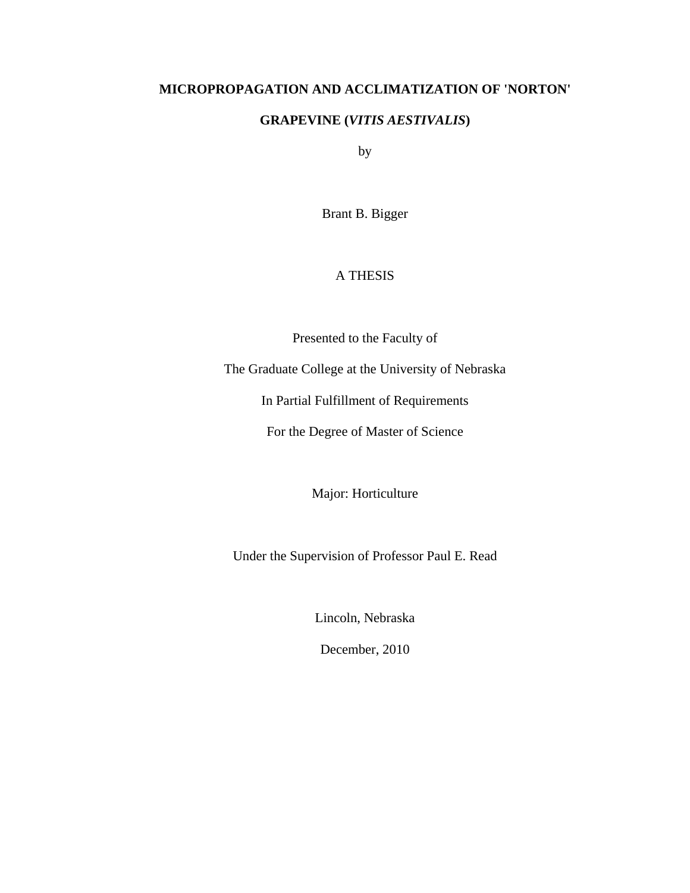# **MICROPROPAGATION AND ACCLIMATIZATION OF 'NORTON'**

# **GRAPEVINE (***VITIS AESTIVALIS***)**

by

Brant B. Bigger

# A THESIS

Presented to the Faculty of

The Graduate College at the University of Nebraska

In Partial Fulfillment of Requirements

For the Degree of Master of Science

Major: Horticulture

Under the Supervision of Professor Paul E. Read

Lincoln, Nebraska

December, 2010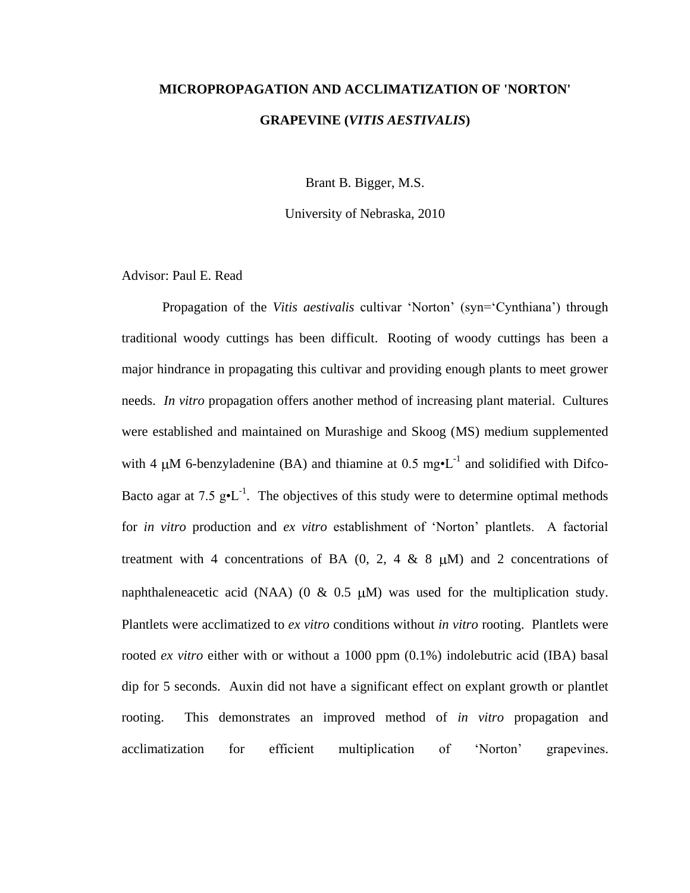# **MICROPROPAGATION AND ACCLIMATIZATION OF 'NORTON' GRAPEVINE (***VITIS AESTIVALIS***)**

Brant B. Bigger, M.S.

University of Nebraska, 2010

Advisor: Paul E. Read

Propagation of the *Vitis aestivalis* cultivar 'Norton' (syn='Cynthiana') through traditional woody cuttings has been difficult. Rooting of woody cuttings has been a major hindrance in propagating this cultivar and providing enough plants to meet grower needs. *In vitro* propagation offers another method of increasing plant material. Cultures were established and maintained on Murashige and Skoog (MS) medium supplemented with 4  $\mu$ M 6-benzyladenine (BA) and thiamine at 0.5 mg $\cdot$ L<sup>-1</sup> and solidified with Difco-Bacto agar at 7.5  $g \cdot L^{-1}$ . The objectives of this study were to determine optimal methods for *in vitro* production and *ex vitro* establishment of 'Norton' plantlets. A factorial treatment with 4 concentrations of BA  $(0, 2, 4 \& 8 \mu)$  and 2 concentrations of naphthaleneacetic acid (NAA) (0 & 0.5  $\mu$ M) was used for the multiplication study. Plantlets were acclimatized to *ex vitro* conditions without *in vitro* rooting. Plantlets were rooted *ex vitro* either with or without a 1000 ppm (0.1%) indolebutric acid (IBA) basal dip for 5 seconds. Auxin did not have a significant effect on explant growth or plantlet rooting. This demonstrates an improved method of *in vitro* propagation and acclimatization for efficient multiplication of 'Norton' grapevines.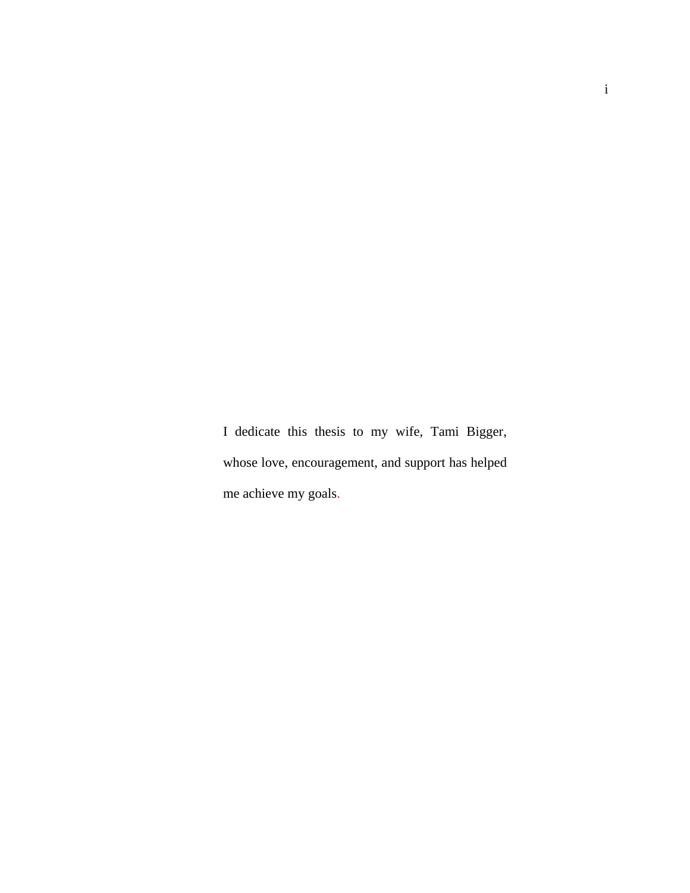I dedicate this thesis to my wife, Tami Bigger, whose love, encouragement, and support has helped me achieve my goals.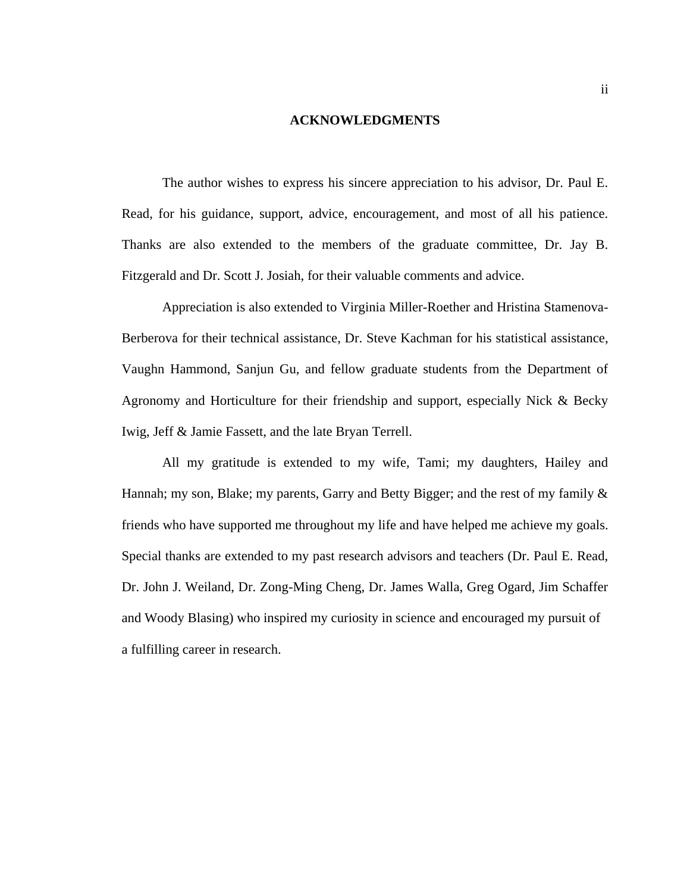#### **ACKNOWLEDGMENTS**

The author wishes to express his sincere appreciation to his advisor, Dr. Paul E. Read, for his guidance, support, advice, encouragement, and most of all his patience. Thanks are also extended to the members of the graduate committee, Dr. Jay B. Fitzgerald and Dr. Scott J. Josiah, for their valuable comments and advice.

Appreciation is also extended to Virginia Miller-Roether and Hristina Stamenova-Berberova for their technical assistance, Dr. Steve Kachman for his statistical assistance, Vaughn Hammond, Sanjun Gu, and fellow graduate students from the Department of Agronomy and Horticulture for their friendship and support, especially Nick & Becky Iwig, Jeff & Jamie Fassett, and the late Bryan Terrell.

All my gratitude is extended to my wife, Tami; my daughters, Hailey and Hannah; my son, Blake; my parents, Garry and Betty Bigger; and the rest of my family  $\&$ friends who have supported me throughout my life and have helped me achieve my goals. Special thanks are extended to my past research advisors and teachers (Dr. Paul E. Read, Dr. John J. Weiland, Dr. Zong-Ming Cheng, Dr. James Walla, Greg Ogard, Jim Schaffer and Woody Blasing) who inspired my curiosity in science and encouraged my pursuit of a fulfilling career in research.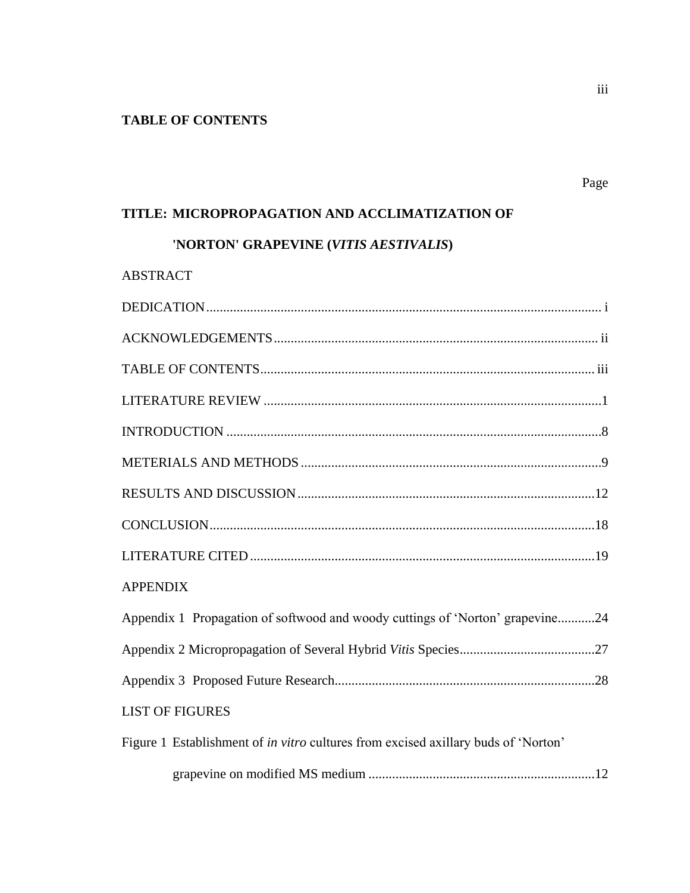# **TABLE OF CONTENTS**

# **TITLE: MICROPROPAGATION AND ACCLIMATIZATION OF**

# **'NORTON' GRAPEVINE (***VITIS AESTIVALIS***)**

| <b>ABSTRACT</b> |  |
|-----------------|--|
|-----------------|--|

| <b>APPENDIX</b>                                                                    |  |
|------------------------------------------------------------------------------------|--|
| Appendix 1 Propagation of softwood and woody cuttings of 'Norton' grapevine24      |  |
|                                                                                    |  |
|                                                                                    |  |
| <b>LIST OF FIGURES</b>                                                             |  |
| Figure 1 Establishment of in vitro cultures from excised axillary buds of 'Norton' |  |
|                                                                                    |  |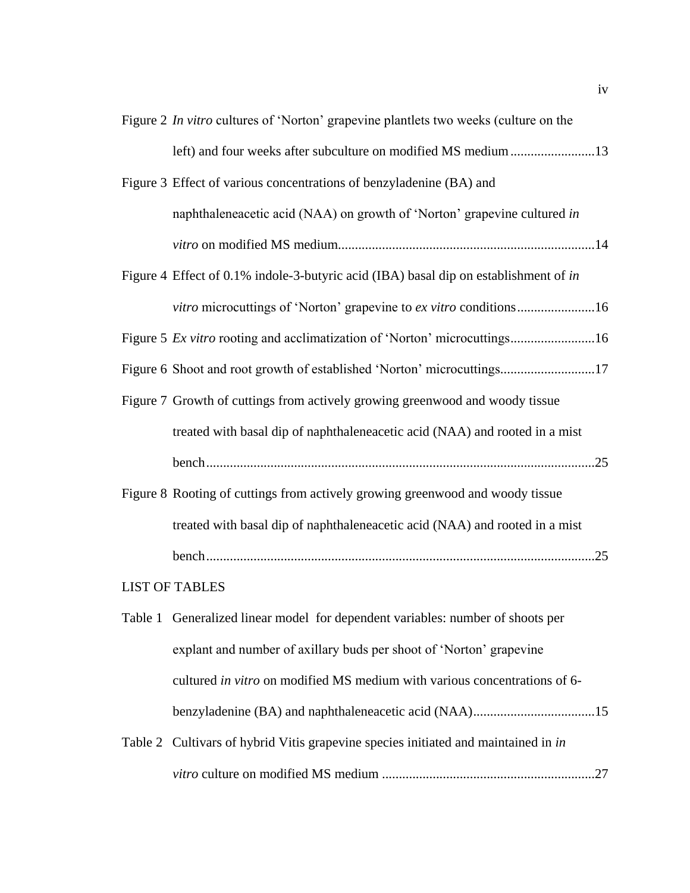| Figure 2 In vitro cultures of 'Norton' grapevine plantlets two weeks (culture on the |
|--------------------------------------------------------------------------------------|
| left) and four weeks after subculture on modified MS medium 13                       |
| Figure 3 Effect of various concentrations of benzyladenine (BA) and                  |
| naphthaleneacetic acid (NAA) on growth of 'Norton' grapevine cultured in             |
|                                                                                      |
| Figure 4 Effect of 0.1% indole-3-butyric acid (IBA) basal dip on establishment of in |
| vitro microcuttings of 'Norton' grapevine to ex vitro conditions16                   |
| Figure 5 Ex vitro rooting and acclimatization of 'Norton' microcuttings16            |
| Figure 6 Shoot and root growth of established 'Norton' microcuttings17               |
| Figure 7 Growth of cuttings from actively growing greenwood and woody tissue         |
| treated with basal dip of naphthaleneacetic acid (NAA) and rooted in a mist          |
|                                                                                      |
| Figure 8 Rooting of cuttings from actively growing greenwood and woody tissue        |
| treated with basal dip of naphthaleneacetic acid (NAA) and rooted in a mist          |
|                                                                                      |
| <b>LIST OF TABLES</b>                                                                |
| Table 1 Generalized linear model for dependent variables: number of shoots per       |
| explant and number of axillary buds per shoot of 'Norton' grapevine                  |
| cultured in vitro on modified MS medium with various concentrations of 6-            |
|                                                                                      |
| Table 2 Cultivars of hybrid Vitis grapevine species initiated and maintained in in   |

*vitro* culture on modified MS medium ...............................................................27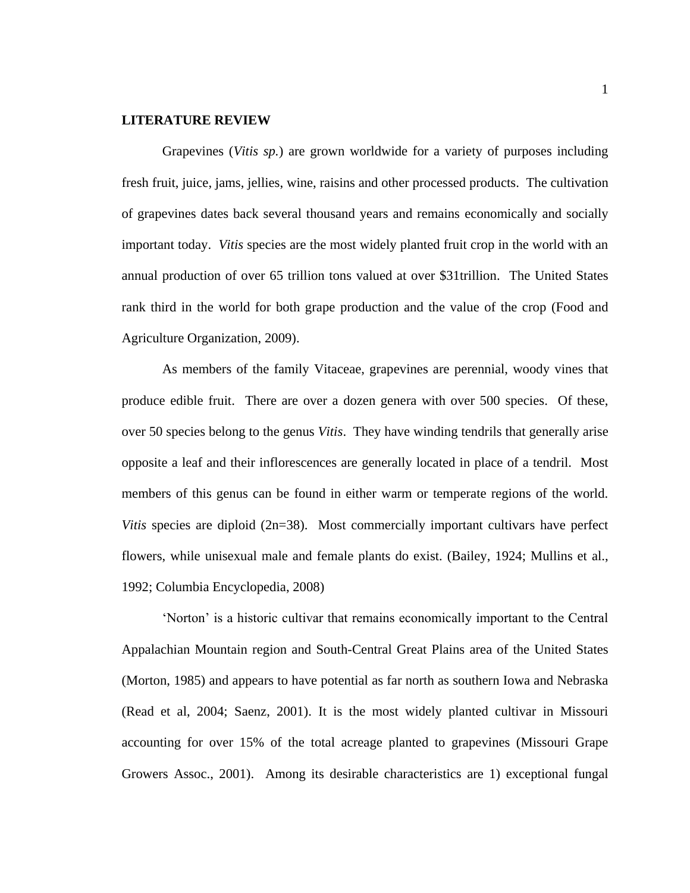#### **LITERATURE REVIEW**

Grapevines (*Vitis sp.*) are grown worldwide for a variety of purposes including fresh fruit, juice, jams, jellies, wine, raisins and other processed products. The cultivation of grapevines dates back several thousand years and remains economically and socially important today. *Vitis* species are the most widely planted fruit crop in the world with an annual production of over 65 trillion tons valued at over \$31trillion. The United States rank third in the world for both grape production and the value of the crop (Food and Agriculture Organization, 2009).

As members of the family Vitaceae, grapevines are perennial, woody vines that produce edible fruit. There are over a dozen genera with over 500 species. Of these, over 50 species belong to the genus *Vitis*. They have winding tendrils that generally arise opposite a leaf and their inflorescences are generally located in place of a tendril. Most members of this genus can be found in either warm or temperate regions of the world. *Vitis* species are diploid (2n=38). Most commercially important cultivars have perfect flowers, while unisexual male and female plants do exist. (Bailey, 1924; Mullins et al., 1992; Columbia Encyclopedia, 2008)

‗Norton' is a historic cultivar that remains economically important to the Central Appalachian Mountain region and South-Central Great Plains area of the United States (Morton, 1985) and appears to have potential as far north as southern Iowa and Nebraska (Read et al, 2004; Saenz, 2001). It is the most widely planted cultivar in Missouri accounting for over 15% of the total acreage planted to grapevines (Missouri Grape Growers Assoc., 2001). Among its desirable characteristics are 1) exceptional fungal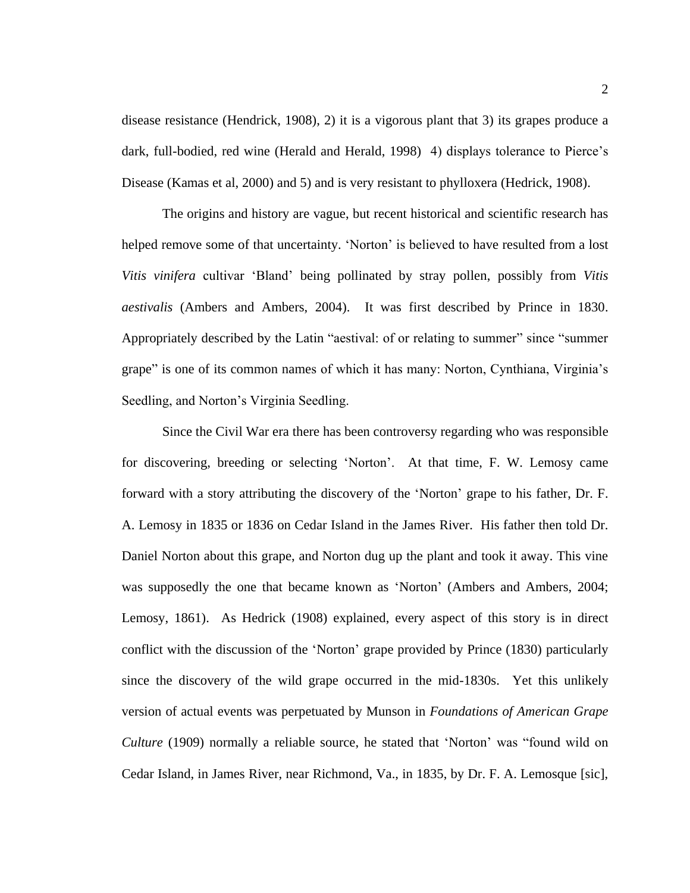disease resistance (Hendrick, 1908), 2) it is a vigorous plant that 3) its grapes produce a dark, full-bodied, red wine (Herald and Herald, 1998) 4) displays tolerance to Pierce's Disease (Kamas et al, 2000) and 5) and is very resistant to phylloxera (Hedrick, 1908).

The origins and history are vague, but recent historical and scientific research has helped remove some of that uncertainty. 'Norton' is believed to have resulted from a lost *Vitis vinifera* cultivar ‗Bland' being pollinated by stray pollen, possibly from *Vitis aestivalis* (Ambers and Ambers, 2004). It was first described by Prince in 1830. Appropriately described by the Latin "aestival: of or relating to summer" since "summer grape" is one of its common names of which it has many: Norton, Cynthiana, Virginia's Seedling, and Norton's Virginia Seedling.

Since the Civil War era there has been controversy regarding who was responsible for discovering, breeding or selecting 'Norton'. At that time, F. W. Lemosy came forward with a story attributing the discovery of the 'Norton' grape to his father, Dr. F. A. Lemosy in 1835 or 1836 on Cedar Island in the James River. His father then told Dr. Daniel Norton about this grape, and Norton dug up the plant and took it away. This vine was supposedly the one that became known as 'Norton' (Ambers and Ambers, 2004; Lemosy, 1861). As Hedrick (1908) explained, every aspect of this story is in direct conflict with the discussion of the 'Norton' grape provided by Prince (1830) particularly since the discovery of the wild grape occurred in the mid-1830s. Yet this unlikely version of actual events was perpetuated by Munson in *Foundations of American Grape Culture* (1909) normally a reliable source, he stated that 'Norton' was "found wild on Cedar Island, in James River, near Richmond, Va., in 1835, by Dr. F. A. Lemosque [sic],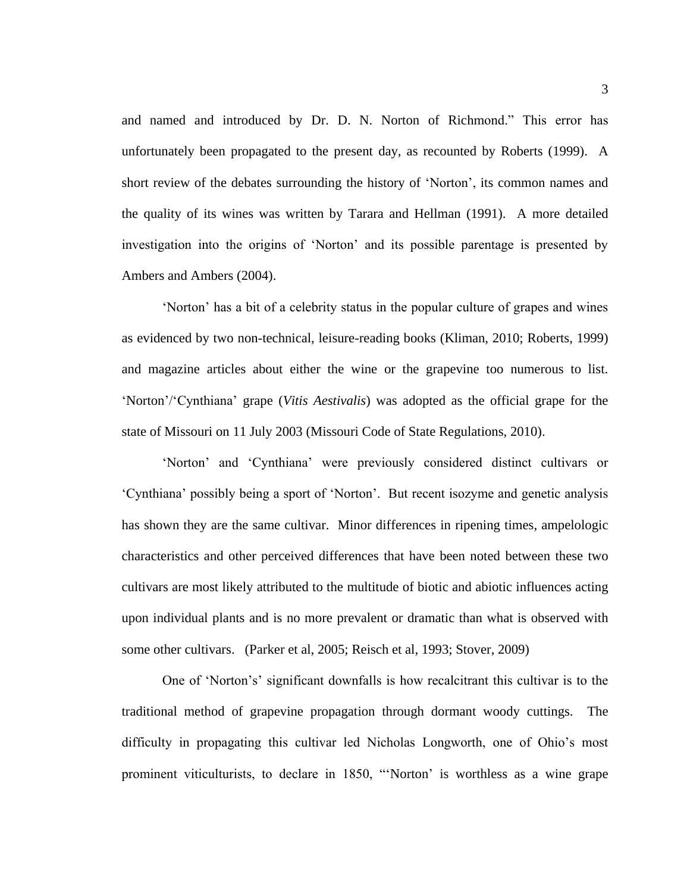and named and introduced by Dr. D. N. Norton of Richmond." This error has unfortunately been propagated to the present day, as recounted by Roberts (1999). A short review of the debates surrounding the history of 'Norton', its common names and the quality of its wines was written by Tarara and Hellman (1991). A more detailed investigation into the origins of 'Norton' and its possible parentage is presented by Ambers and Ambers (2004).

‗Norton' has a bit of a celebrity status in the popular culture of grapes and wines as evidenced by two non-technical, leisure-reading books (Kliman, 2010; Roberts, 1999) and magazine articles about either the wine or the grapevine too numerous to list. ‗Norton'/‗Cynthiana' grape (*Vitis Aestivalis*) was adopted as the official grape for the state of Missouri on 11 July 2003 (Missouri Code of State Regulations, 2010).

‗Norton' and ‗Cynthiana' were previously considered distinct cultivars or ‗Cynthiana' possibly being a sport of ‗Norton'. But recent isozyme and genetic analysis has shown they are the same cultivar. Minor differences in ripening times, ampelologic characteristics and other perceived differences that have been noted between these two cultivars are most likely attributed to the multitude of biotic and abiotic influences acting upon individual plants and is no more prevalent or dramatic than what is observed with some other cultivars. (Parker et al, 2005; Reisch et al, 1993; Stover, 2009)

One of ‗Norton's' significant downfalls is how recalcitrant this cultivar is to the traditional method of grapevine propagation through dormant woody cuttings. The difficulty in propagating this cultivar led Nicholas Longworth, one of Ohio's most prominent viticulturists, to declare in 1850, "Norton' is worthless as a wine grape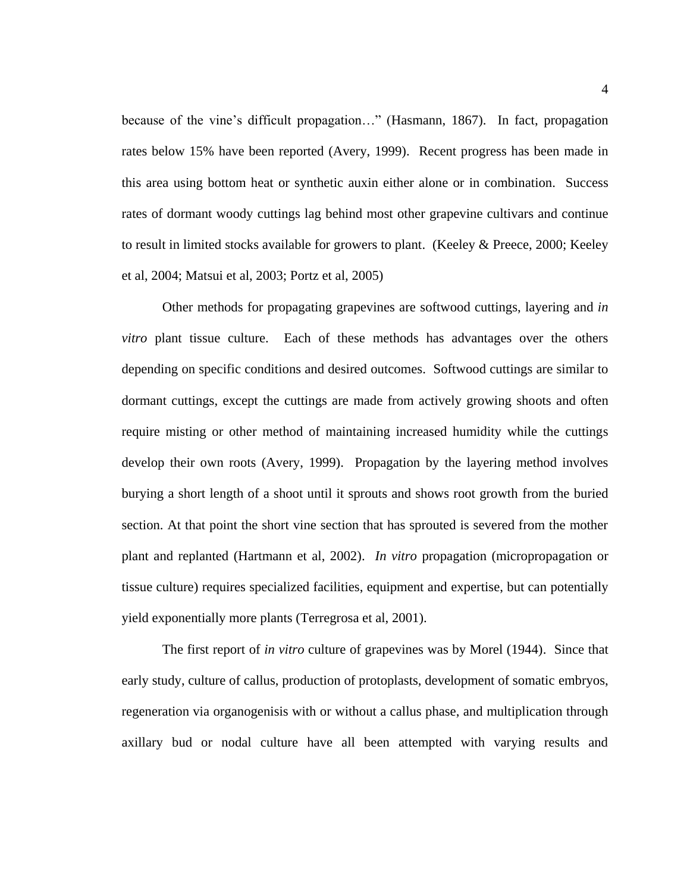because of the vine's difficult propagation..." (Hasmann, 1867). In fact, propagation rates below 15% have been reported (Avery, 1999). Recent progress has been made in this area using bottom heat or synthetic auxin either alone or in combination. Success rates of dormant woody cuttings lag behind most other grapevine cultivars and continue to result in limited stocks available for growers to plant. (Keeley & Preece, 2000; Keeley et al, 2004; Matsui et al, 2003; Portz et al, 2005)

Other methods for propagating grapevines are softwood cuttings, layering and *in vitro* plant tissue culture. Each of these methods has advantages over the others depending on specific conditions and desired outcomes. Softwood cuttings are similar to dormant cuttings, except the cuttings are made from actively growing shoots and often require misting or other method of maintaining increased humidity while the cuttings develop their own roots (Avery, 1999). Propagation by the layering method involves burying a short length of a shoot until it sprouts and shows root growth from the buried section. At that point the short vine section that has sprouted is severed from the mother plant and replanted (Hartmann et al, 2002). *In vitro* propagation (micropropagation or tissue culture) requires specialized facilities, equipment and expertise, but can potentially yield exponentially more plants (Terregrosa et al, 2001).

The first report of *in vitro* culture of grapevines was by Morel (1944). Since that early study, culture of callus, production of protoplasts, development of somatic embryos, regeneration via organogenisis with or without a callus phase, and multiplication through axillary bud or nodal culture have all been attempted with varying results and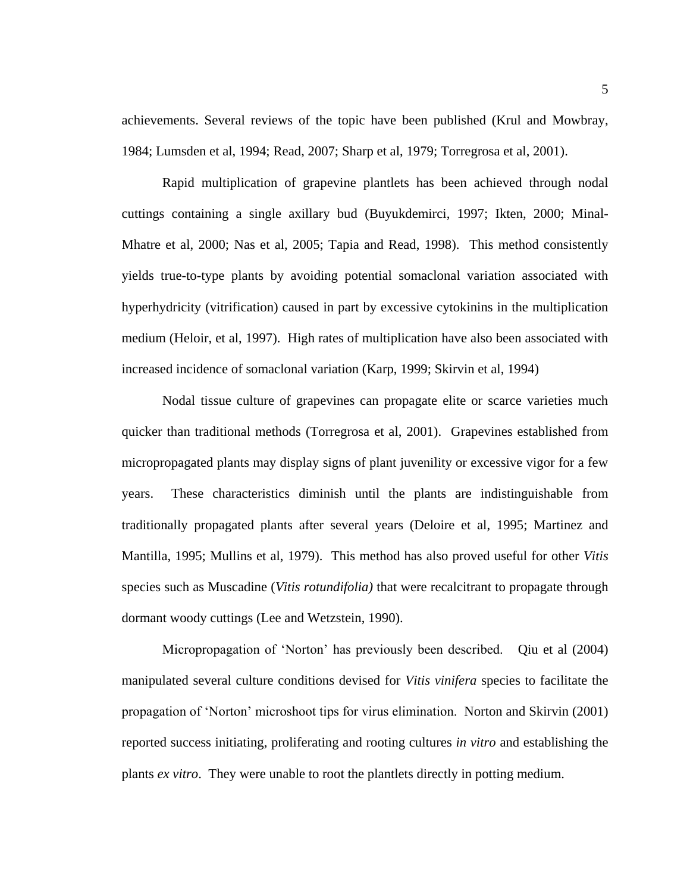achievements. Several reviews of the topic have been published (Krul and Mowbray, 1984; Lumsden et al, 1994; Read, 2007; Sharp et al, 1979; Torregrosa et al, 2001).

Rapid multiplication of grapevine plantlets has been achieved through nodal cuttings containing a single axillary bud (Buyukdemirci, 1997; Ikten, 2000; Minal-Mhatre et al, 2000; Nas et al, 2005; Tapia and Read, 1998). This method consistently yields true-to-type plants by avoiding potential somaclonal variation associated with hyperhydricity (vitrification) caused in part by excessive cytokinins in the multiplication medium (Heloir, et al, 1997). High rates of multiplication have also been associated with increased incidence of somaclonal variation (Karp, 1999; Skirvin et al, 1994)

Nodal tissue culture of grapevines can propagate elite or scarce varieties much quicker than traditional methods (Torregrosa et al, 2001). Grapevines established from micropropagated plants may display signs of plant juvenility or excessive vigor for a few years. These characteristics diminish until the plants are indistinguishable from traditionally propagated plants after several years (Deloire et al, 1995; Martinez and Mantilla, 1995; Mullins et al, 1979). This method has also proved useful for other *Vitis* species such as Muscadine (*Vitis rotundifolia)* that were recalcitrant to propagate through dormant woody cuttings (Lee and Wetzstein, 1990).

Micropropagation of ‗Norton' has previously been described. Qiu et al (2004) manipulated several culture conditions devised for *Vitis vinifera* species to facilitate the propagation of ‗Norton' microshoot tips for virus elimination. Norton and Skirvin (2001) reported success initiating, proliferating and rooting cultures *in vitro* and establishing the plants *ex vitro*. They were unable to root the plantlets directly in potting medium.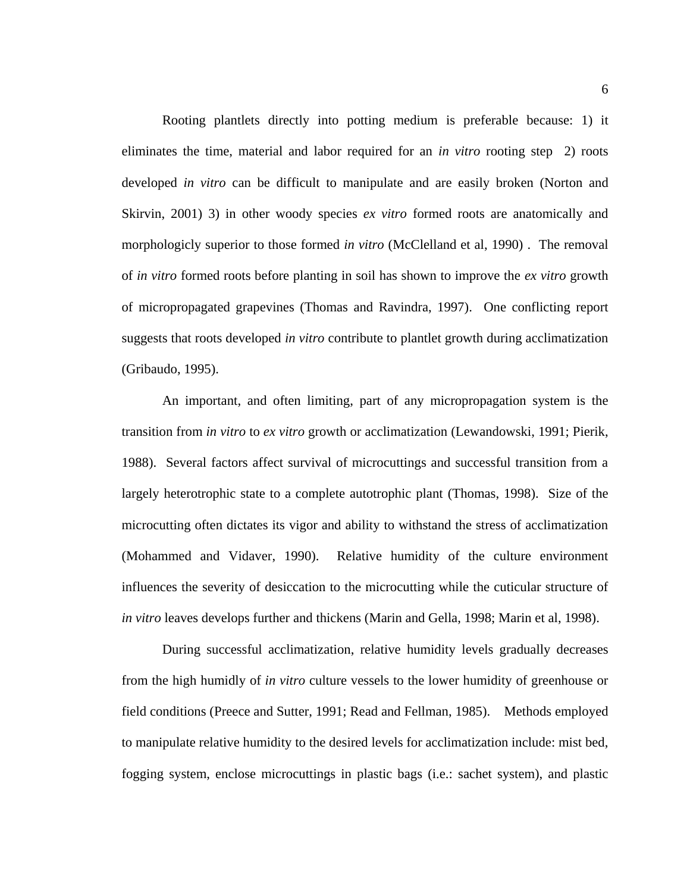Rooting plantlets directly into potting medium is preferable because: 1) it eliminates the time, material and labor required for an *in vitro* rooting step 2) roots developed *in vitro* can be difficult to manipulate and are easily broken (Norton and Skirvin, 2001) 3) in other woody species *ex vitro* formed roots are anatomically and morphologicly superior to those formed *in vitro* (McClelland et al, 1990) . The removal of *in vitro* formed roots before planting in soil has shown to improve the *ex vitro* growth of micropropagated grapevines (Thomas and Ravindra, 1997). One conflicting report suggests that roots developed *in vitro* contribute to plantlet growth during acclimatization (Gribaudo, 1995).

An important, and often limiting, part of any micropropagation system is the transition from *in vitro* to *ex vitro* growth or acclimatization (Lewandowski, 1991; Pierik, 1988). Several factors affect survival of microcuttings and successful transition from a largely heterotrophic state to a complete autotrophic plant (Thomas, 1998). Size of the microcutting often dictates its vigor and ability to withstand the stress of acclimatization (Mohammed and Vidaver, 1990). Relative humidity of the culture environment influences the severity of desiccation to the microcutting while the cuticular structure of *in vitro* leaves develops further and thickens (Marin and Gella, 1998; Marin et al, 1998).

During successful acclimatization, relative humidity levels gradually decreases from the high humidly of *in vitro* culture vessels to the lower humidity of greenhouse or field conditions (Preece and Sutter, 1991; Read and Fellman, 1985). Methods employed to manipulate relative humidity to the desired levels for acclimatization include: mist bed, fogging system, enclose microcuttings in plastic bags (i.e.: sachet system), and plastic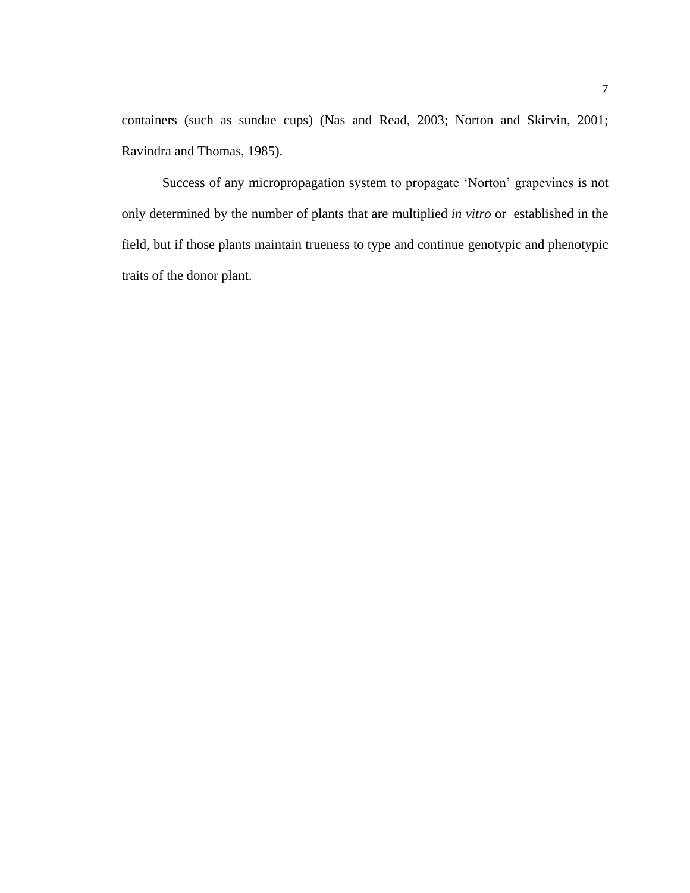containers (such as sundae cups) (Nas and Read, 2003; Norton and Skirvin, 2001; Ravindra and Thomas, 1985).

Success of any micropropagation system to propagate 'Norton' grapevines is not only determined by the number of plants that are multiplied *in vitro* or established in the field, but if those plants maintain trueness to type and continue genotypic and phenotypic traits of the donor plant.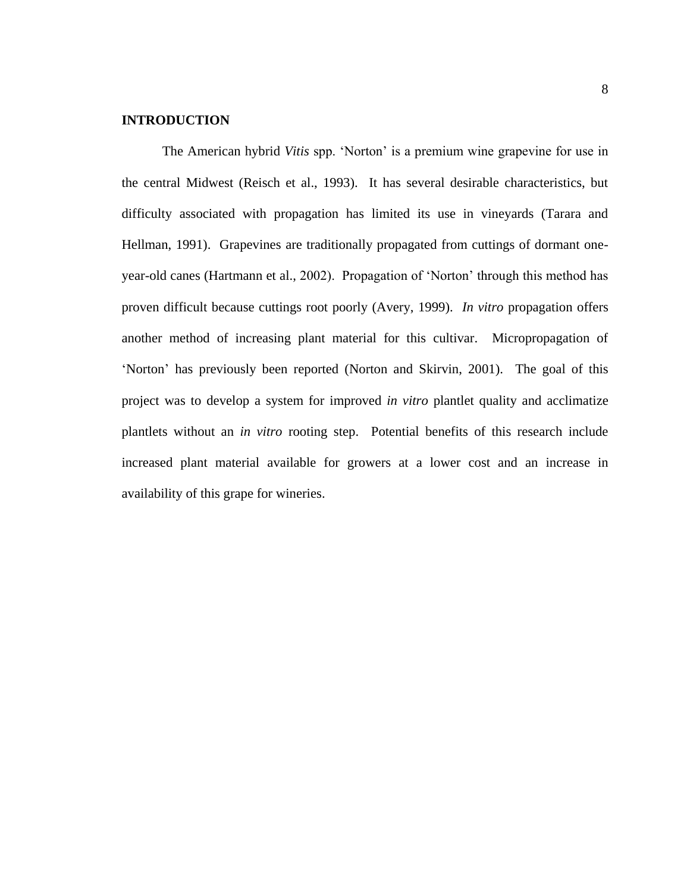# **INTRODUCTION**

The American hybrid *Vitis* spp. 'Norton' is a premium wine grapevine for use in the central Midwest (Reisch et al., 1993). It has several desirable characteristics, but difficulty associated with propagation has limited its use in vineyards (Tarara and Hellman, 1991). Grapevines are traditionally propagated from cuttings of dormant oneyear-old canes (Hartmann et al., 2002). Propagation of 'Norton' through this method has proven difficult because cuttings root poorly (Avery, 1999). *In vitro* propagation offers another method of increasing plant material for this cultivar. Micropropagation of ‗Norton' has previously been reported (Norton and Skirvin, 2001). The goal of this project was to develop a system for improved *in vitro* plantlet quality and acclimatize plantlets without an *in vitro* rooting step. Potential benefits of this research include increased plant material available for growers at a lower cost and an increase in availability of this grape for wineries.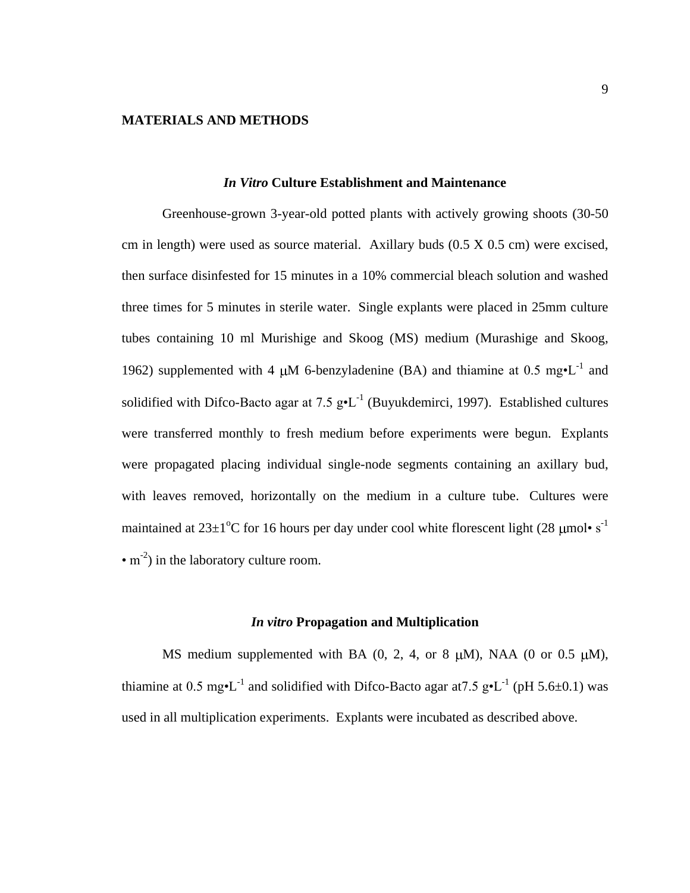#### **MATERIALS AND METHODS**

#### *In Vitro* **Culture Establishment and Maintenance**

Greenhouse-grown 3-year-old potted plants with actively growing shoots (30-50 cm in length) were used as source material. Axillary buds (0.5 X 0.5 cm) were excised, then surface disinfested for 15 minutes in a 10% commercial bleach solution and washed three times for 5 minutes in sterile water. Single explants were placed in 25mm culture tubes containing 10 ml Murishige and Skoog (MS) medium (Murashige and Skoog, 1962) supplemented with 4  $\mu$ M 6-benzyladenine (BA) and thiamine at 0.5 mg•L<sup>-1</sup> and solidified with Difco-Bacto agar at 7.5  $g \cdot L^{-1}$  (Buyukdemirci, 1997). Established cultures were transferred monthly to fresh medium before experiments were begun. Explants were propagated placing individual single-node segments containing an axillary bud, with leaves removed, horizontally on the medium in a culture tube. Cultures were maintained at  $23\pm1\textsuperscript{o}$ C for 16 hours per day under cool white florescent light (28 µmol• s<sup>-1</sup>)  $\cdot$  m<sup>-2</sup>) in the laboratory culture room.

#### *In vitro* **Propagation and Multiplication**

MS medium supplemented with BA  $(0, 2, 4, \text{ or } 8 \mu M)$ , NAA  $(0 \text{ or } 0.5 \mu M)$ , thiamine at 0.5 mg•L<sup>-1</sup> and solidified with Difco-Bacto agar at 7.5 g•L<sup>-1</sup> (pH 5.6±0.1) was used in all multiplication experiments. Explants were incubated as described above.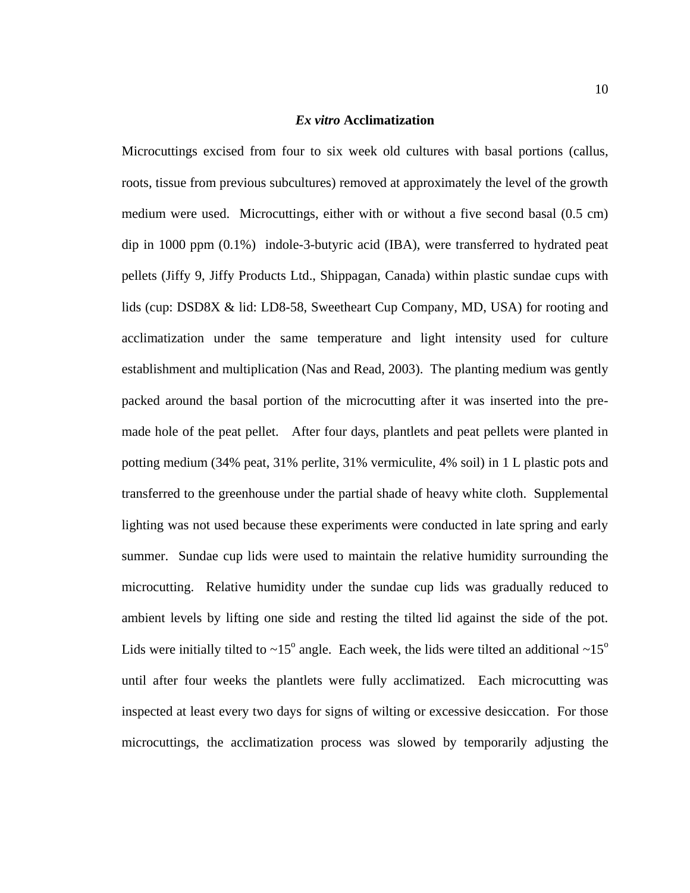#### *Ex vitro* **Acclimatization**

Microcuttings excised from four to six week old cultures with basal portions (callus, roots, tissue from previous subcultures) removed at approximately the level of the growth medium were used. Microcuttings, either with or without a five second basal (0.5 cm) dip in 1000 ppm (0.1%) indole-3-butyric acid (IBA), were transferred to hydrated peat pellets (Jiffy 9, Jiffy Products Ltd., Shippagan, Canada) within plastic sundae cups with lids (cup: DSD8X & lid: LD8-58, Sweetheart Cup Company, MD, USA) for rooting and acclimatization under the same temperature and light intensity used for culture establishment and multiplication (Nas and Read, 2003). The planting medium was gently packed around the basal portion of the microcutting after it was inserted into the premade hole of the peat pellet. After four days, plantlets and peat pellets were planted in potting medium (34% peat, 31% perlite, 31% vermiculite, 4% soil) in 1 L plastic pots and transferred to the greenhouse under the partial shade of heavy white cloth. Supplemental lighting was not used because these experiments were conducted in late spring and early summer. Sundae cup lids were used to maintain the relative humidity surrounding the microcutting. Relative humidity under the sundae cup lids was gradually reduced to ambient levels by lifting one side and resting the tilted lid against the side of the pot. Lids were initially tilted to  $\sim 15^{\circ}$  angle. Each week, the lids were tilted an additional  $\sim 15^{\circ}$ until after four weeks the plantlets were fully acclimatized. Each microcutting was inspected at least every two days for signs of wilting or excessive desiccation. For those microcuttings, the acclimatization process was slowed by temporarily adjusting the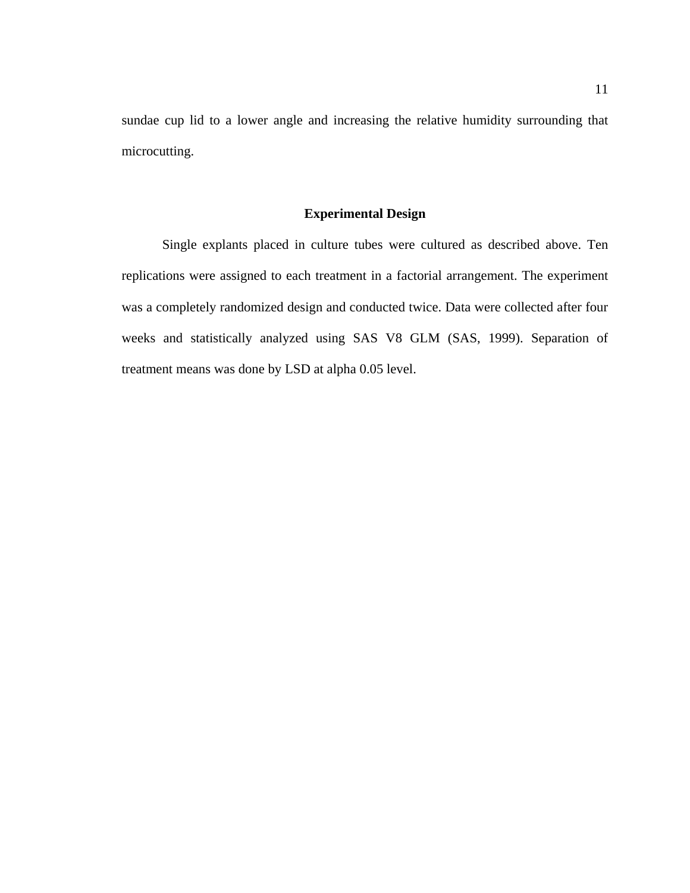sundae cup lid to a lower angle and increasing the relative humidity surrounding that microcutting.

# **Experimental Design**

Single explants placed in culture tubes were cultured as described above. Ten replications were assigned to each treatment in a factorial arrangement. The experiment was a completely randomized design and conducted twice. Data were collected after four weeks and statistically analyzed using SAS V8 GLM (SAS, 1999). Separation of treatment means was done by LSD at alpha 0.05 level.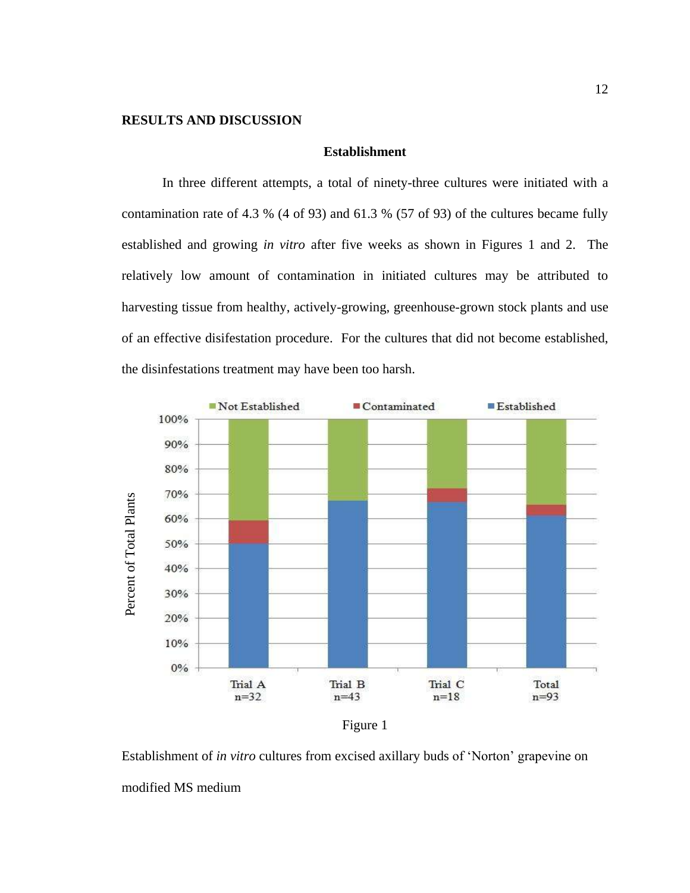## **RESULTS AND DISCUSSION**

#### **Establishment**

In three different attempts, a total of ninety-three cultures were initiated with a contamination rate of 4.3 % (4 of 93) and 61.3 % (57 of 93) of the cultures became fully established and growing *in vitro* after five weeks as shown in Figures 1 and 2. The relatively low amount of contamination in initiated cultures may be attributed to harvesting tissue from healthy, actively-growing, greenhouse-grown stock plants and use of an effective disifestation procedure. For the cultures that did not become established, the disinfestations treatment may have been too harsh.



Figure 1

Establishment of *in vitro* cultures from excised axillary buds of ‗Norton' grapevine on modified MS medium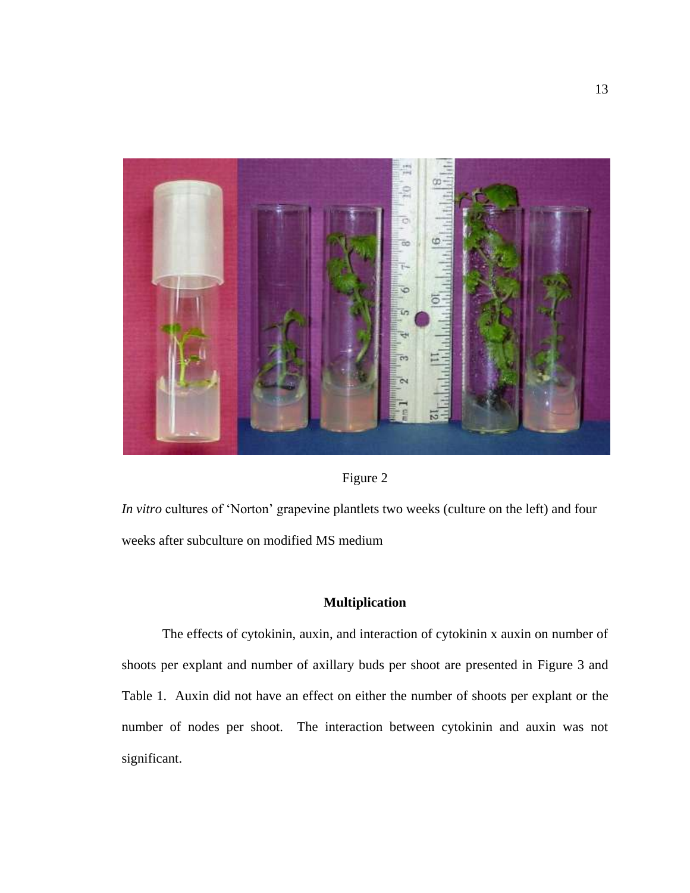



*In vitro* cultures of 'Norton' grapevine plantlets two weeks (culture on the left) and four weeks after subculture on modified MS medium

# **Multiplication**

The effects of cytokinin, auxin, and interaction of cytokinin x auxin on number of shoots per explant and number of axillary buds per shoot are presented in Figure 3 and Table 1. Auxin did not have an effect on either the number of shoots per explant or the number of nodes per shoot. The interaction between cytokinin and auxin was not significant.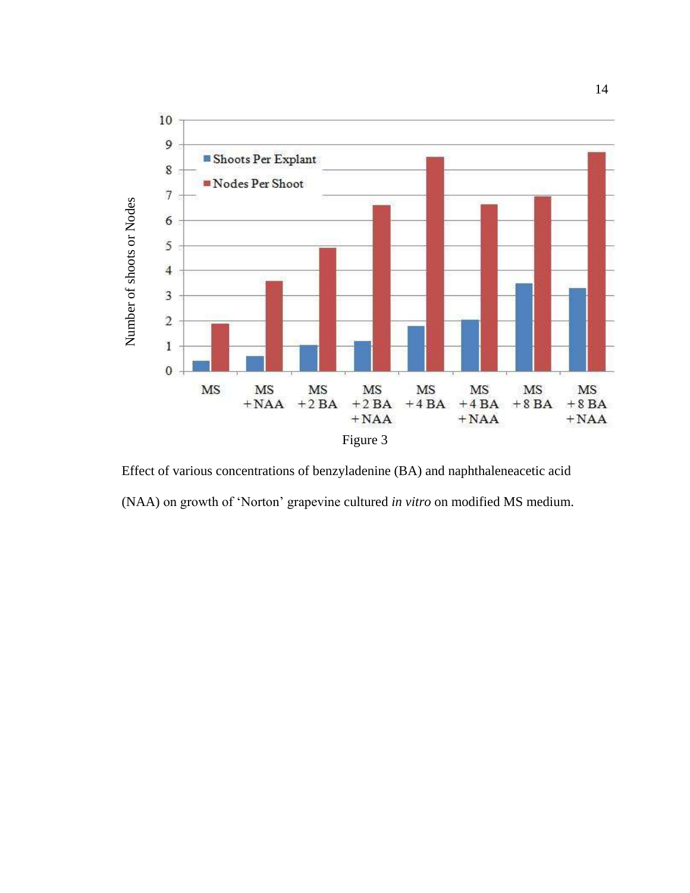

Effect of various concentrations of benzyladenine (BA) and naphthaleneacetic acid (NAA) on growth of ‗Norton' grapevine cultured *in vitro* on modified MS medium.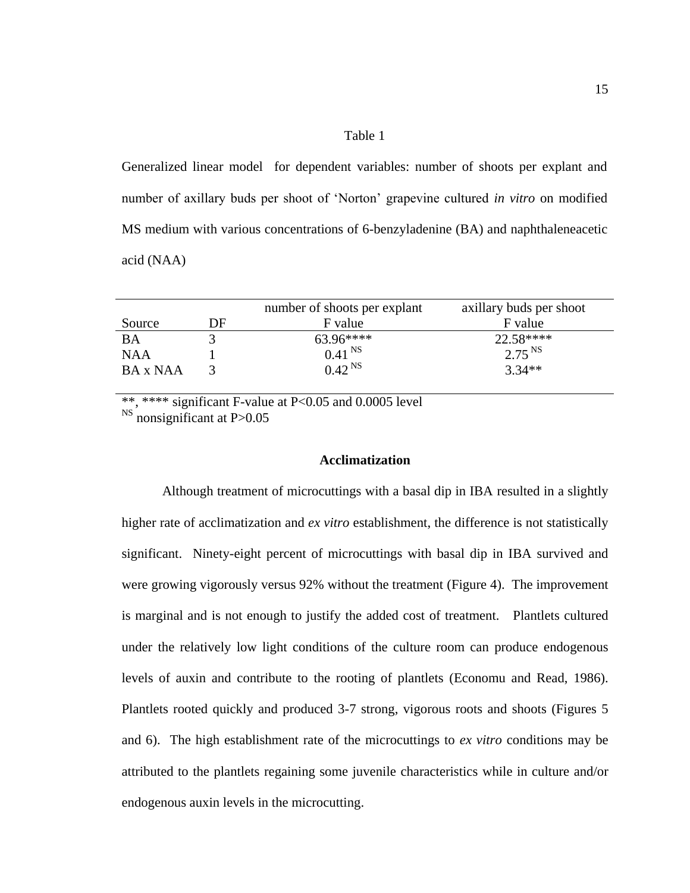#### Table 1

Generalized linear model for dependent variables: number of shoots per explant and number of axillary buds per shoot of 'Norton' grapevine cultured *in vitro* on modified MS medium with various concentrations of 6-benzyladenine (BA) and naphthaleneacetic acid (NAA)

|            |    | number of shoots per explant | axillary buds per shoot |
|------------|----|------------------------------|-------------------------|
| Source     | DF | F value                      | F value                 |
| BA         |    | $63.96***$                   | 22.58****               |
| <b>NAA</b> |    | 0.41 <sup>NS</sup>           | $2.75^{NS}$             |
| BA x NAA   |    | $0.42^{N}$                   | $3.34**$                |

\*\*, \*\*\*\* significant F-value at P<0.05 and 0.0005 level

<sup>NS</sup> nonsignificant at P>0.05

#### **Acclimatization**

Although treatment of microcuttings with a basal dip in IBA resulted in a slightly higher rate of acclimatization and *ex vitro* establishment, the difference is not statistically significant. Ninety-eight percent of microcuttings with basal dip in IBA survived and were growing vigorously versus 92% without the treatment (Figure 4). The improvement is marginal and is not enough to justify the added cost of treatment. Plantlets cultured under the relatively low light conditions of the culture room can produce endogenous levels of auxin and contribute to the rooting of plantlets (Economu and Read, 1986). Plantlets rooted quickly and produced 3-7 strong, vigorous roots and shoots (Figures 5 and 6). The high establishment rate of the microcuttings to *ex vitro* conditions may be attributed to the plantlets regaining some juvenile characteristics while in culture and/or endogenous auxin levels in the microcutting.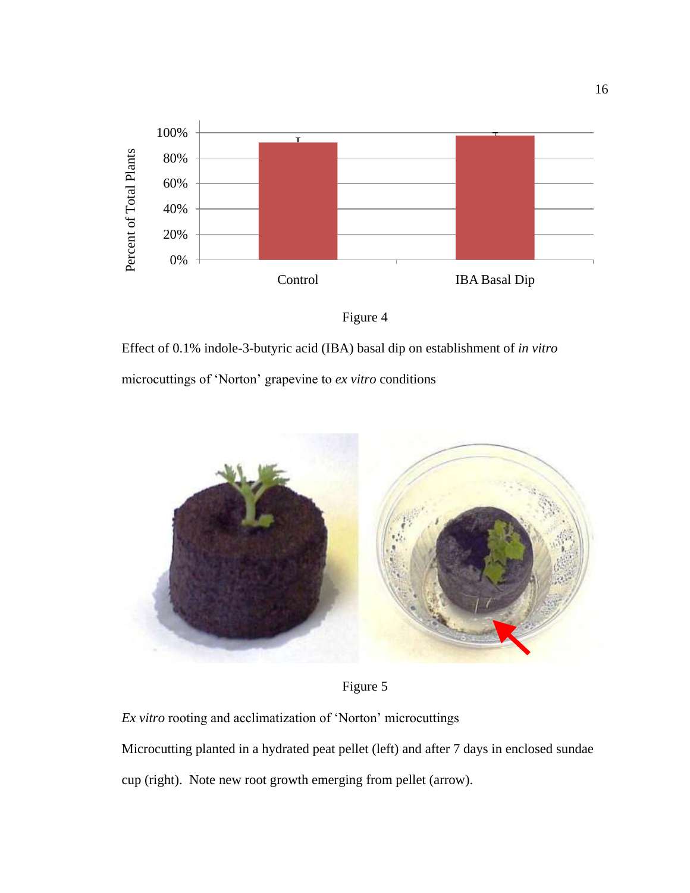



Effect of 0.1% indole-3-butyric acid (IBA) basal dip on establishment of *in vitro*

microcuttings of ‗Norton' grapevine to *ex vitro* conditions



Figure 5

*Ex vitro* rooting and acclimatization of ‗Norton' microcuttings Microcutting planted in a hydrated peat pellet (left) and after 7 days in enclosed sundae

cup (right). Note new root growth emerging from pellet (arrow).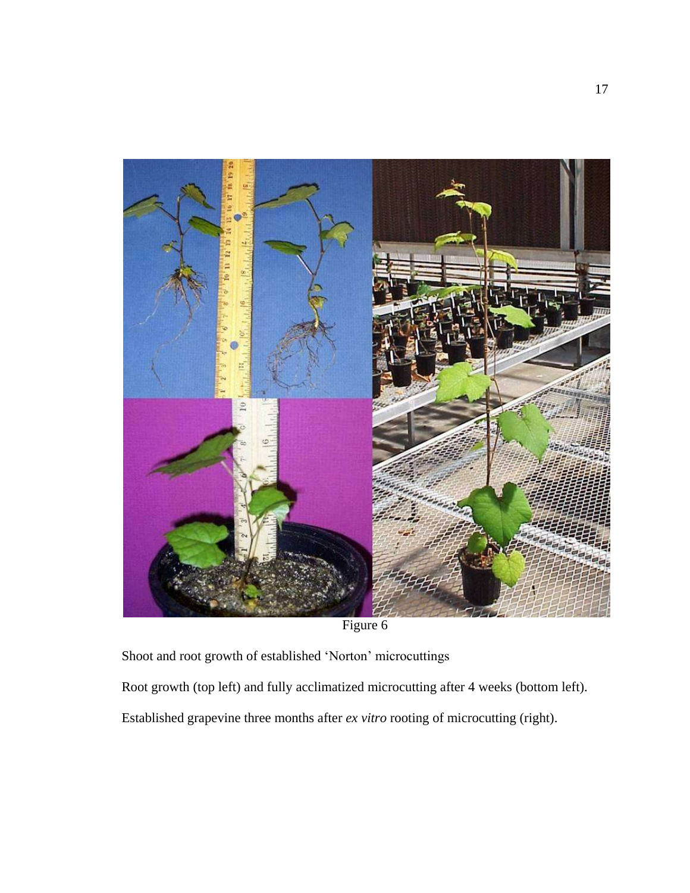

Figure 6

Shoot and root growth of established 'Norton' microcuttings

Root growth (top left) and fully acclimatized microcutting after 4 weeks (bottom left).

Established grapevine three months after *ex vitro* rooting of microcutting (right).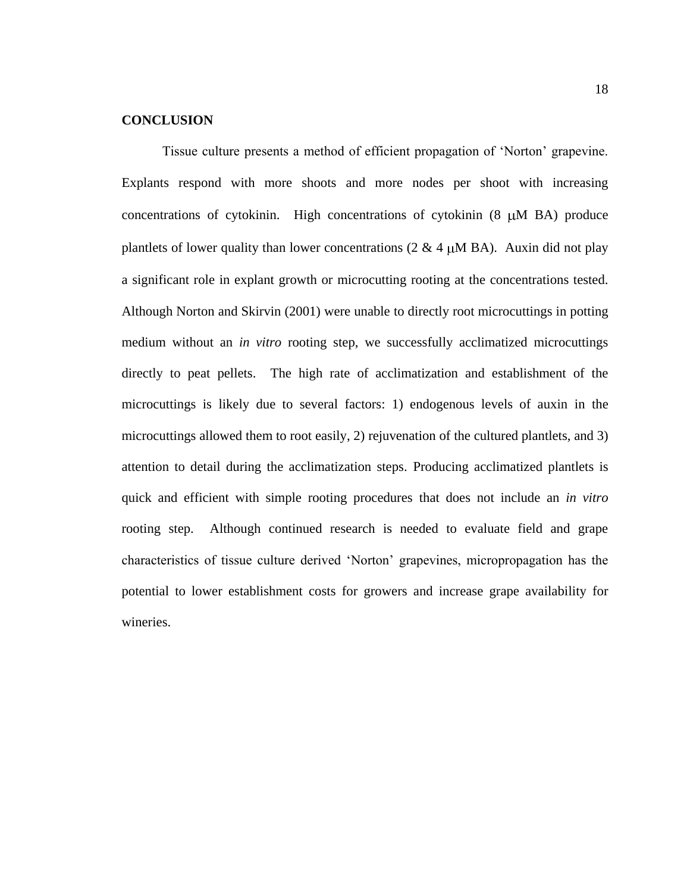# **CONCLUSION**

Tissue culture presents a method of efficient propagation of ‗Norton' grapevine. Explants respond with more shoots and more nodes per shoot with increasing concentrations of cytokinin. High concentrations of cytokinin  $(8 \mu M B)$  produce plantlets of lower quality than lower concentrations (2  $\&$  4  $\mu$ M BA). Auxin did not play a significant role in explant growth or microcutting rooting at the concentrations tested. Although Norton and Skirvin (2001) were unable to directly root microcuttings in potting medium without an *in vitro* rooting step, we successfully acclimatized microcuttings directly to peat pellets. The high rate of acclimatization and establishment of the microcuttings is likely due to several factors: 1) endogenous levels of auxin in the microcuttings allowed them to root easily, 2) rejuvenation of the cultured plantlets, and 3) attention to detail during the acclimatization steps. Producing acclimatized plantlets is quick and efficient with simple rooting procedures that does not include an *in vitro*  rooting step. Although continued research is needed to evaluate field and grape characteristics of tissue culture derived ‗Norton' grapevines, micropropagation has the potential to lower establishment costs for growers and increase grape availability for wineries.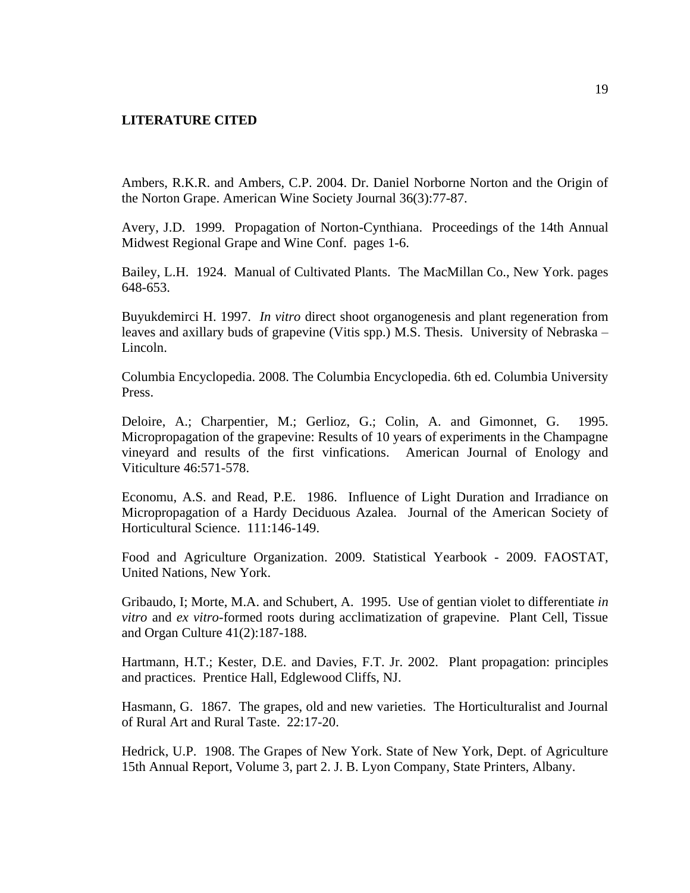#### **LITERATURE CITED**

Ambers, R.K.R. and Ambers, C.P. 2004. Dr. Daniel Norborne Norton and the Origin of the Norton Grape. American Wine Society Journal 36(3):77-87.

Avery, J.D. 1999. Propagation of Norton-Cynthiana. Proceedings of the 14th Annual Midwest Regional Grape and Wine Conf. pages 1-6.

Bailey, L.H. 1924. Manual of Cultivated Plants. The MacMillan Co., New York. pages 648-653.

Buyukdemirci H. 1997. *In vitro* direct shoot organogenesis and plant regeneration from leaves and axillary buds of grapevine (Vitis spp.) M.S. Thesis. University of Nebraska – Lincoln.

Columbia Encyclopedia. 2008. The Columbia Encyclopedia. 6th ed. Columbia University Press.

Deloire, A.; Charpentier, M.; Gerlioz, G.; Colin, A. and Gimonnet, G. 1995. Micropropagation of the grapevine: Results of 10 years of experiments in the Champagne vineyard and results of the first vinfications. American Journal of Enology and Viticulture 46:571-578.

Economu, A.S. and Read, P.E. 1986. Influence of Light Duration and Irradiance on Micropropagation of a Hardy Deciduous Azalea. Journal of the American Society of Horticultural Science. 111:146-149.

Food and Agriculture Organization. 2009. Statistical Yearbook - 2009. FAOSTAT, United Nations, New York.

Gribaudo, I; Morte, M.A. and Schubert, A. 1995. Use of gentian violet to differentiate *in vitro* and *ex vitro*-formed roots during acclimatization of grapevine. Plant Cell, Tissue and Organ Culture 41(2):187-188.

Hartmann, H.T.; Kester, D.E. and Davies, F.T. Jr. 2002. Plant propagation: principles and practices. Prentice Hall, Edglewood Cliffs, NJ.

Hasmann, G. 1867. The grapes, old and new varieties. The Horticulturalist and Journal of Rural Art and Rural Taste. 22:17-20.

Hedrick, U.P. 1908. The Grapes of New York. State of New York, Dept. of Agriculture 15th Annual Report, Volume 3, part 2. J. B. Lyon Company, State Printers, Albany.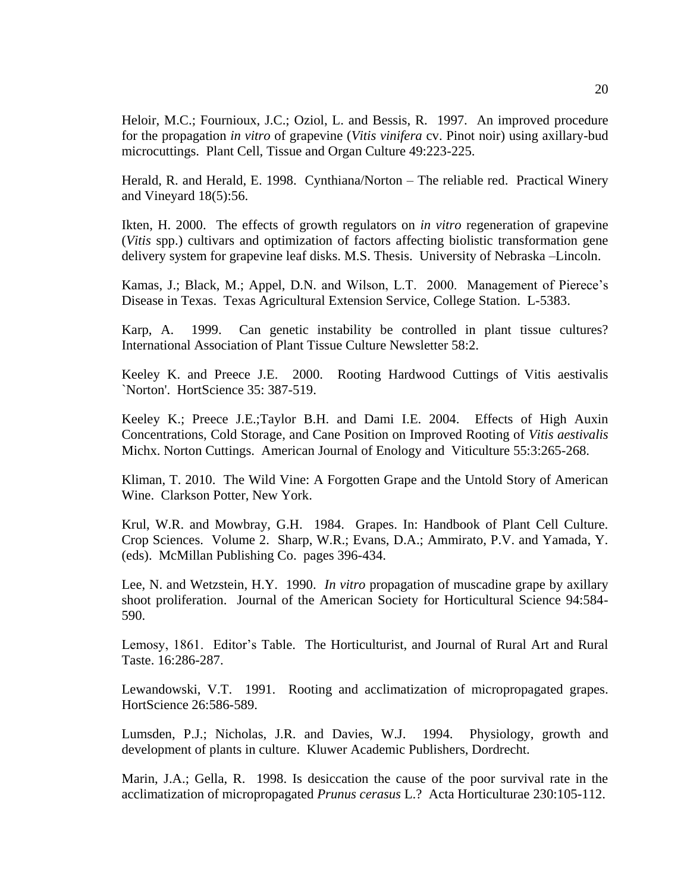Heloir, M.C.; Fournioux, J.C.; Oziol, L. and Bessis, R. 1997. An improved procedure for the propagation *in vitro* of grapevine (*Vitis vinifera* cv. Pinot noir) using axillary-bud microcuttings. Plant Cell, Tissue and Organ Culture 49:223-225.

Herald, R. and Herald, E. 1998. Cynthiana/Norton – The reliable red. Practical Winery and Vineyard 18(5):56.

Ikten, H. 2000. The effects of growth regulators on *in vitro* regeneration of grapevine (*Vitis* spp.) cultivars and optimization of factors affecting biolistic transformation gene delivery system for grapevine leaf disks. M.S. Thesis. University of Nebraska –Lincoln.

Kamas, J.; Black, M.; Appel, D.N. and Wilson, L.T. 2000. Management of Pierece's Disease in Texas. Texas Agricultural Extension Service, College Station. L-5383.

Karp, A. 1999. Can genetic instability be controlled in plant tissue cultures? International Association of Plant Tissue Culture Newsletter 58:2.

Keeley K. and Preece J.E. 2000. Rooting Hardwood Cuttings of Vitis aestivalis `Norton'. HortScience 35: 387-519.

Keeley K.; Preece J.E.;Taylor B.H. and Dami I.E. 2004. Effects of High Auxin Concentrations, Cold Storage, and Cane Position on Improved Rooting of *Vitis aestivalis* Michx. Norton Cuttings. American Journal of Enology and Viticulture 55:3:265-268.

Kliman, T. 2010. The Wild Vine: A Forgotten Grape and the Untold Story of American Wine. Clarkson Potter, New York.

Krul, W.R. and Mowbray, G.H. 1984. Grapes. In: Handbook of Plant Cell Culture. Crop Sciences. Volume 2. Sharp, W.R.; Evans, D.A.; Ammirato, P.V. and Yamada, Y. (eds). McMillan Publishing Co. pages 396-434.

Lee, N. and Wetzstein, H.Y. 1990. *In vitro* propagation of muscadine grape by axillary shoot proliferation. Journal of the American Society for Horticultural Science 94:584- 590.

Lemosy, 1861. Editor's Table. The Horticulturist, and Journal of Rural Art and Rural Taste. 16:286-287.

Lewandowski, V.T. 1991. Rooting and acclimatization of micropropagated grapes. HortScience 26:586-589.

Lumsden, P.J.; Nicholas, J.R. and Davies, W.J. 1994. Physiology, growth and development of plants in culture. Kluwer Academic Publishers, Dordrecht.

Marin, J.A.; Gella, R. 1998. Is desiccation the cause of the poor survival rate in the acclimatization of micropropagated *Prunus cerasus* L.? Acta Horticulturae 230:105-112.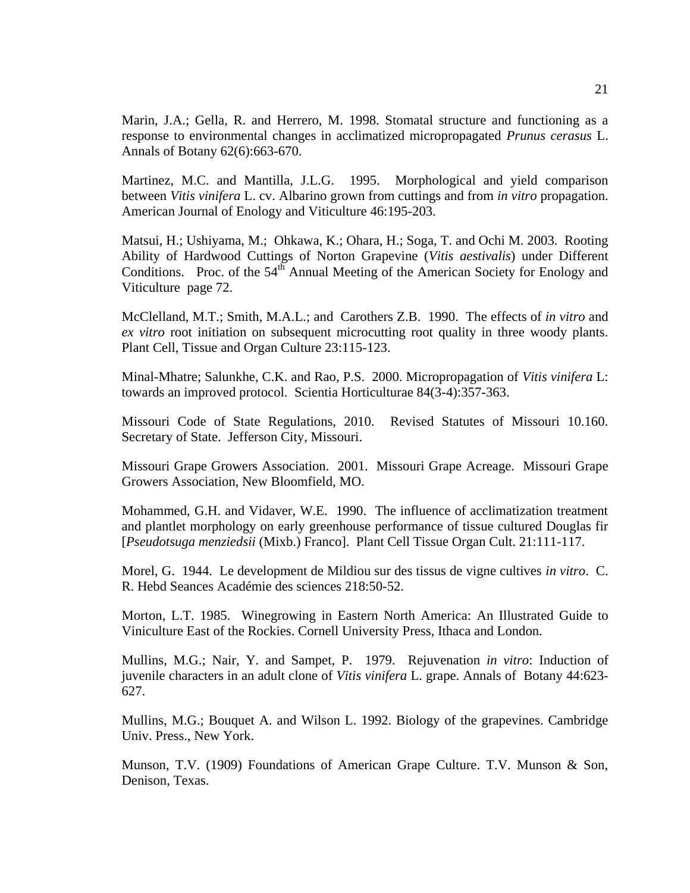Marin, J.A.; Gella, R. and Herrero, M. 1998. Stomatal structure and functioning as a response to environmental changes in acclimatized micropropagated *Prunus cerasus* L. Annals of Botany 62(6):663-670.

Martinez, M.C. and Mantilla, J.L.G. 1995. Morphological and yield comparison between *Vitis vinifera* L. cv. Albarino grown from cuttings and from *in vitro* propagation. American Journal of Enology and Viticulture 46:195-203.

Matsui, H.; Ushiyama, M.; Ohkawa, K.; Ohara, H.; Soga, T. and Ochi M. 2003. Rooting Ability of Hardwood Cuttings of Norton Grapevine (*Vitis aestivalis*) under Different Conditions. Proc. of the  $54<sup>th</sup>$  Annual Meeting of the American Society for Enology and Viticulture page 72.

McClelland, M.T.; Smith, M.A.L.; and Carothers Z.B. 1990. The effects of *in vitro* and *ex vitro* root initiation on subsequent microcutting root quality in three woody plants. Plant Cell, Tissue and Organ Culture 23:115-123.

Minal-Mhatre; Salunkhe, C.K. and Rao, P.S. 2000. Micropropagation of *Vitis vinifera* L: towards an improved protocol. Scientia Horticulturae 84(3-4):357-363.

Missouri Code of State Regulations, 2010. Revised Statutes of Missouri 10.160. Secretary of State. Jefferson City, Missouri.

Missouri Grape Growers Association. 2001. Missouri Grape Acreage. Missouri Grape Growers Association, New Bloomfield, MO.

Mohammed, G.H. and Vidaver, W.E. 1990. The influence of acclimatization treatment and plantlet morphology on early greenhouse performance of tissue cultured Douglas fir [*Pseudotsuga menziedsii* (Mixb.) Franco]. Plant Cell Tissue Organ Cult. 21:111-117.

Morel, G. 1944. Le development de Mildiou sur des tissus de vigne cultives *in vitro*. C. R. Hebd Seances Académie des sciences 218:50-52.

Morton, L.T. 1985. Winegrowing in Eastern North America: An Illustrated Guide to Viniculture East of the Rockies. Cornell University Press, Ithaca and London.

Mullins, M.G.; Nair, Y. and Sampet, P. 1979. Rejuvenation *in vitro*: Induction of juvenile characters in an adult clone of *Vitis vinifera* L. grape. Annals of Botany 44:623- 627.

Mullins, M.G.; Bouquet A. and Wilson L. 1992. Biology of the grapevines. Cambridge Univ. Press., New York.

Munson, T.V. (1909) Foundations of American Grape Culture. T.V. Munson & Son, Denison, Texas.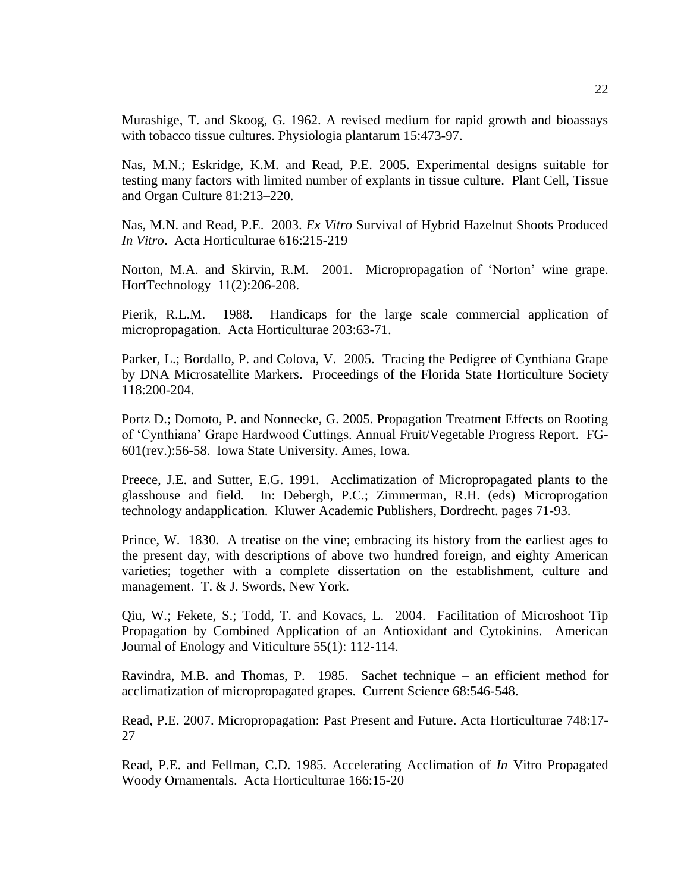Murashige, T. and Skoog, G. 1962. A revised medium for rapid growth and bioassays with tobacco tissue cultures. Physiologia plantarum 15:473-97.

Nas, M.N.; Eskridge, K.M. and Read, P.E. 2005. Experimental designs suitable for testing many factors with limited number of explants in tissue culture. Plant Cell, Tissue and Organ Culture 81:213–220.

Nas, M.N. and Read, P.E. 2003. *Ex Vitro* Survival of Hybrid Hazelnut Shoots Produced *In Vitro*. Acta Horticulturae 616:215-219

Norton, M.A. and Skirvin, R.M. 2001. Micropropagation of 'Norton' wine grape. HortTechnology 11(2):206-208.

Pierik, R.L.M. 1988. Handicaps for the large scale commercial application of micropropagation. Acta Horticulturae 203:63-71.

Parker, L.; Bordallo, P. and Colova, V. 2005. Tracing the Pedigree of Cynthiana Grape by DNA Microsatellite Markers. Proceedings of the Florida State Horticulture Society 118:200-204.

Portz D.; Domoto, P. and Nonnecke, G. 2005. Propagation Treatment Effects on Rooting of ‗Cynthiana' Grape Hardwood Cuttings. Annual Fruit/Vegetable Progress Report. FG-601(rev.):56-58. Iowa State University. Ames, Iowa.

Preece, J.E. and Sutter, E.G. 1991. Acclimatization of Micropropagated plants to the glasshouse and field. In: Debergh, P.C.; Zimmerman, R.H. (eds) Microprogation technology andapplication. Kluwer Academic Publishers, Dordrecht. pages 71-93.

Prince, W. 1830. A treatise on the vine; embracing its history from the earliest ages to the present day, with descriptions of above two hundred foreign, and eighty American varieties; together with a complete dissertation on the establishment, culture and management. T. & J. Swords, New York.

Qiu, W.; Fekete, S.; Todd, T. and Kovacs, L. 2004. Facilitation of Microshoot Tip Propagation by Combined Application of an Antioxidant and Cytokinins. American Journal of Enology and Viticulture 55(1): 112-114.

Ravindra, M.B. and Thomas, P. 1985. Sachet technique – an efficient method for acclimatization of micropropagated grapes. Current Science 68:546-548.

Read, P.E. 2007. Micropropagation: Past Present and Future. Acta Horticulturae 748:17- 27

Read, P.E. and Fellman, C.D. 1985. Accelerating Acclimation of *In* Vitro Propagated Woody Ornamentals. Acta Horticulturae 166:15-20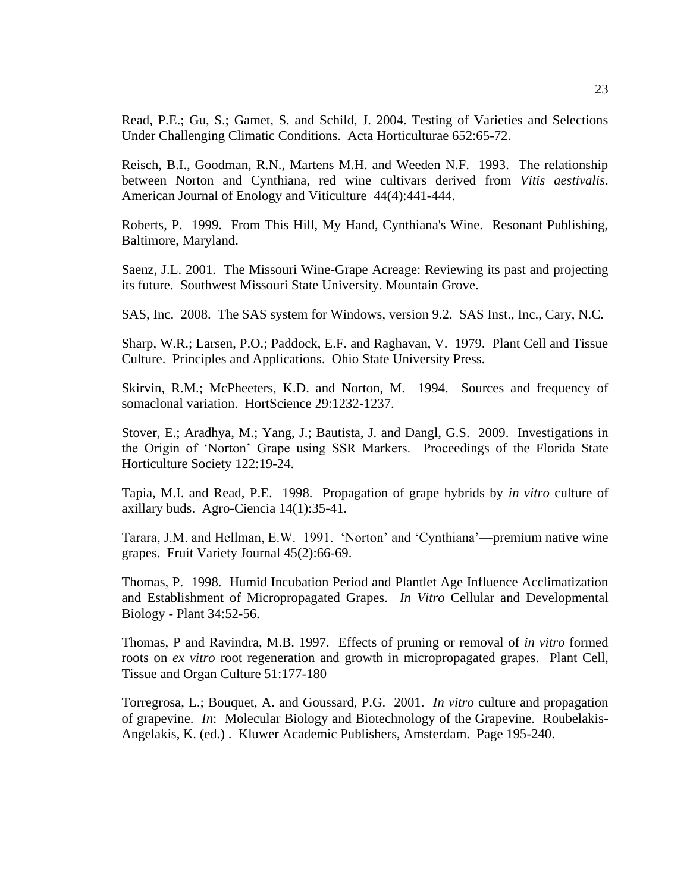Read, P.E.; Gu, S.; Gamet, S. and Schild, J. 2004. Testing of Varieties and Selections Under Challenging Climatic Conditions. Acta Horticulturae 652:65-72.

Reisch, B.I., Goodman, R.N., Martens M.H. and Weeden N.F. 1993. The relationship between Norton and Cynthiana, red wine cultivars derived from *Vitis aestivalis*. American Journal of Enology and Viticulture 44(4):441-444.

Roberts, P. 1999. From This Hill, My Hand, Cynthiana's Wine. Resonant Publishing, Baltimore, Maryland.

Saenz, J.L. 2001. The Missouri Wine-Grape Acreage: Reviewing its past and projecting its future. Southwest Missouri State University. Mountain Grove.

SAS, Inc. 2008. The SAS system for Windows, version 9.2. SAS Inst., Inc., Cary, N.C.

Sharp, W.R.; Larsen, P.O.; Paddock, E.F. and Raghavan, V. 1979. Plant Cell and Tissue Culture. Principles and Applications. Ohio State University Press.

Skirvin, R.M.; McPheeters, K.D. and Norton, M. 1994. Sources and frequency of somaclonal variation. HortScience 29:1232-1237.

Stover, E.; Aradhya, M.; Yang, J.; Bautista, J. and Dangl, G.S. 2009. Investigations in the Origin of ‗Norton' Grape using SSR Markers. Proceedings of the Florida State Horticulture Society 122:19-24.

Tapia, M.I. and Read, P.E. 1998. Propagation of grape hybrids by *in vitro* culture of axillary buds. Agro-Ciencia 14(1):35-41.

Tarara, J.M. and Hellman, E.W. 1991. 'Norton' and 'Cynthiana'—premium native wine grapes. Fruit Variety Journal 45(2):66-69.

Thomas, P. 1998. Humid Incubation Period and Plantlet Age Influence Acclimatization and Establishment of Micropropagated Grapes. *In Vitro* Cellular and Developmental Biology - Plant 34:52-56.

Thomas, P and Ravindra, M.B. 1997. Effects of pruning or removal of *in vitro* formed roots on *ex vitro* root regeneration and growth in micropropagated grapes. Plant Cell, Tissue and Organ Culture 51:177-180

Torregrosa, L.; Bouquet, A. and Goussard, P.G. 2001. *In vitro* culture and propagation of grapevine. *In*: Molecular Biology and Biotechnology of the Grapevine. Roubelakis-Angelakis, K. (ed.) . Kluwer Academic Publishers, Amsterdam. Page 195-240.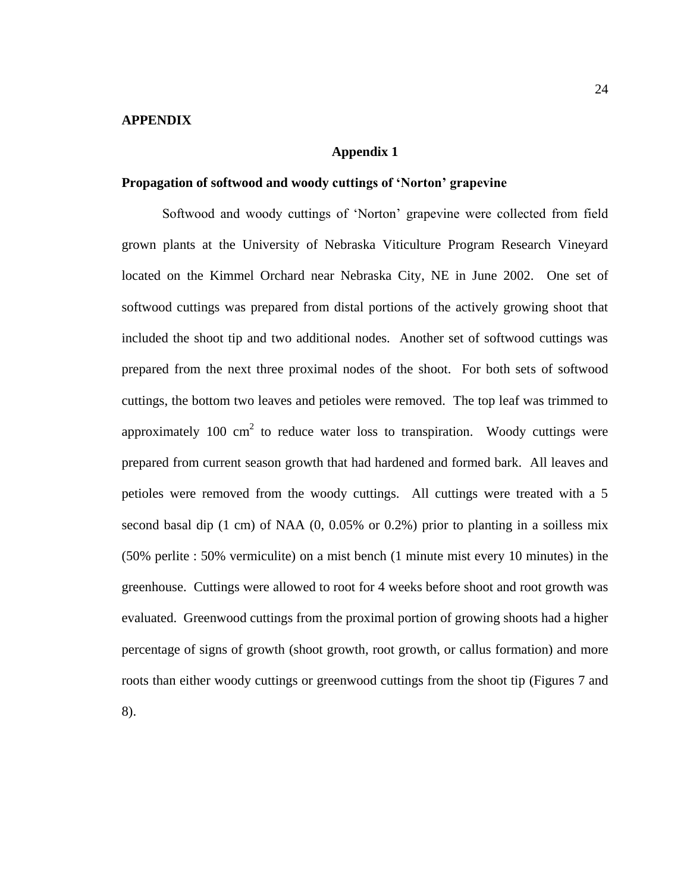#### **APPENDIX**

#### **Appendix 1**

#### **Propagation of softwood and woody cuttings of 'Norton' grapevine**

Softwood and woody cuttings of 'Norton' grapevine were collected from field grown plants at the University of Nebraska Viticulture Program Research Vineyard located on the Kimmel Orchard near Nebraska City, NE in June 2002. One set of softwood cuttings was prepared from distal portions of the actively growing shoot that included the shoot tip and two additional nodes. Another set of softwood cuttings was prepared from the next three proximal nodes of the shoot. For both sets of softwood cuttings, the bottom two leaves and petioles were removed. The top leaf was trimmed to approximately 100 cm<sup>2</sup> to reduce water loss to transpiration. Woody cuttings were prepared from current season growth that had hardened and formed bark. All leaves and petioles were removed from the woody cuttings. All cuttings were treated with a 5 second basal dip (1 cm) of NAA (0, 0.05% or 0.2%) prior to planting in a soilless mix (50% perlite : 50% vermiculite) on a mist bench (1 minute mist every 10 minutes) in the greenhouse. Cuttings were allowed to root for 4 weeks before shoot and root growth was evaluated. Greenwood cuttings from the proximal portion of growing shoots had a higher percentage of signs of growth (shoot growth, root growth, or callus formation) and more roots than either woody cuttings or greenwood cuttings from the shoot tip (Figures 7 and

8).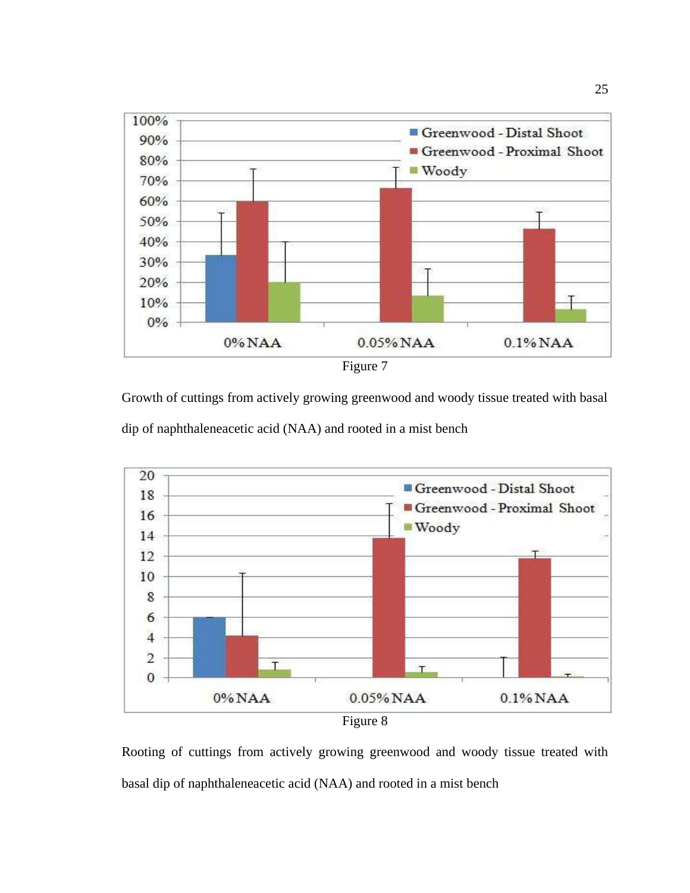

Growth of cuttings from actively growing greenwood and woody tissue treated with basal dip of naphthaleneacetic acid (NAA) and rooted in a mist bench



Rooting of cuttings from actively growing greenwood and woody tissue treated with basal dip of naphthaleneacetic acid (NAA) and rooted in a mist bench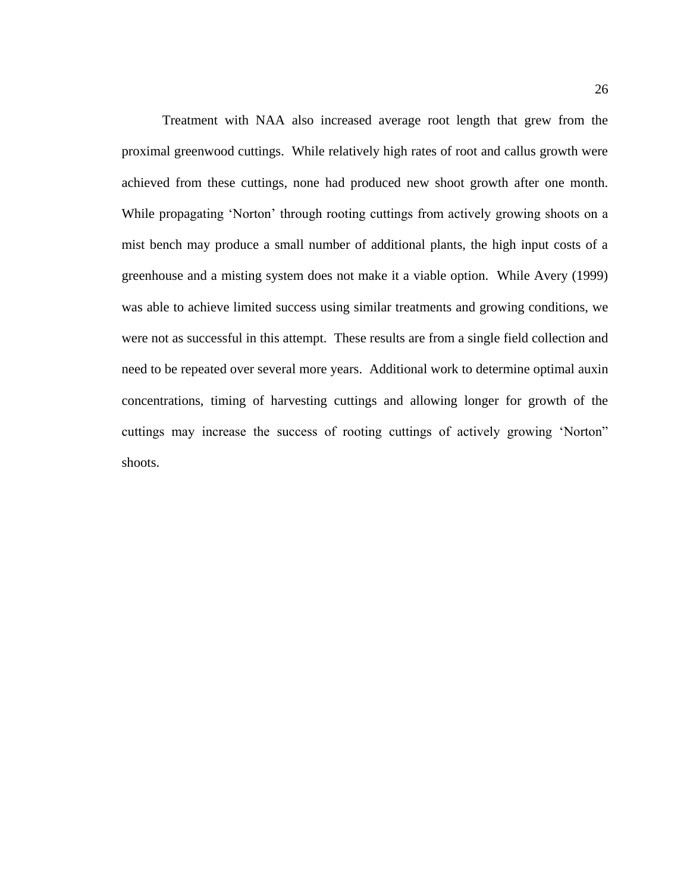Treatment with NAA also increased average root length that grew from the proximal greenwood cuttings. While relatively high rates of root and callus growth were achieved from these cuttings, none had produced new shoot growth after one month. While propagating 'Norton' through rooting cuttings from actively growing shoots on a mist bench may produce a small number of additional plants, the high input costs of a greenhouse and a misting system does not make it a viable option. While Avery (1999) was able to achieve limited success using similar treatments and growing conditions, we were not as successful in this attempt. These results are from a single field collection and need to be repeated over several more years. Additional work to determine optimal auxin concentrations, timing of harvesting cuttings and allowing longer for growth of the cuttings may increase the success of rooting cuttings of actively growing 'Norton" shoots.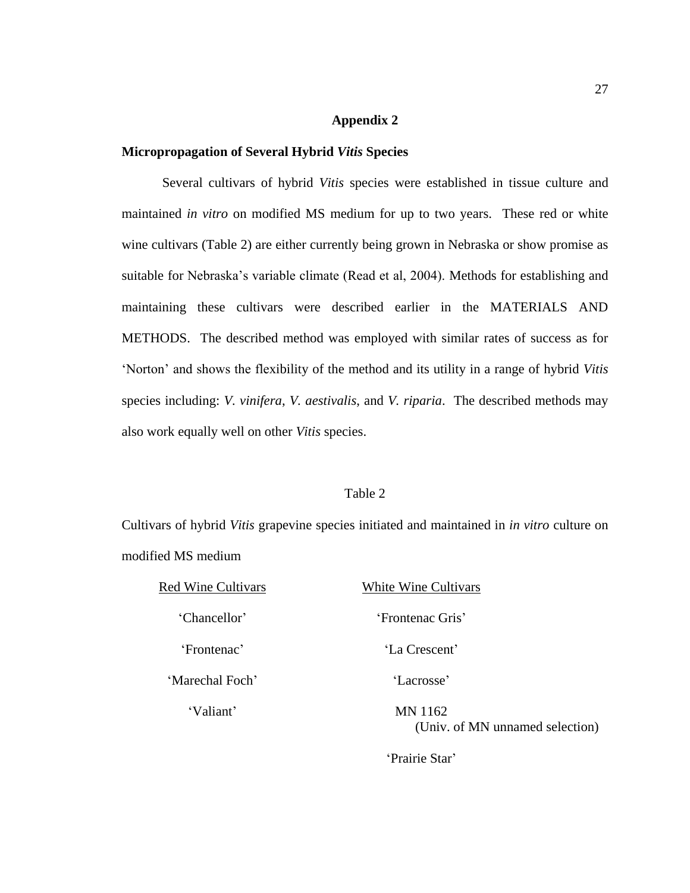# **Appendix 2**

# **Micropropagation of Several Hybrid** *Vitis* **Species**

Several cultivars of hybrid *Vitis* species were established in tissue culture and maintained *in vitro* on modified MS medium for up to two years. These red or white wine cultivars (Table 2) are either currently being grown in Nebraska or show promise as suitable for Nebraska's variable climate (Read et al, 2004). Methods for establishing and maintaining these cultivars were described earlier in the MATERIALS AND METHODS. The described method was employed with similar rates of success as for ‗Norton' and shows the flexibility of the method and its utility in a range of hybrid *Vitis* species including: *V. vinifera*, *V. aestivalis*, and *V. riparia*. The described methods may also work equally well on other *Vitis* species.

#### Table 2

Cultivars of hybrid *Vitis* grapevine species initiated and maintained in *in vitro* culture on modified MS medium

| <b>Red Wine Cultivars</b> | White Wine Cultivars                       |
|---------------------------|--------------------------------------------|
| 'Chancellor'              | 'Frontenac Gris'                           |
| 'Frontenac'               | 'La Crescent'                              |
| 'Marechal Foch'           | 'Lacrosse'                                 |
| 'Valiant'                 | MN 1162<br>(Univ. of MN unnamed selection) |
|                           | 'Prairie Star'                             |